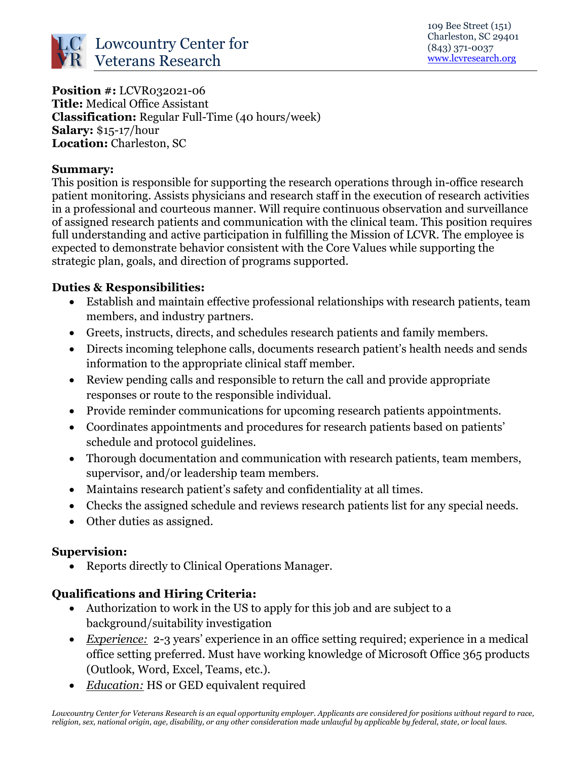

**Position #: LCVR032021-06 Title:** Medical Office Assistant **Classification:** Regular Full-Time (40 hours/week) **Salary:** \$15-17/hour **Location:** Charleston, SC

#### **Summary:**

This position is responsible for supporting the research operations through in-office research patient monitoring. Assists physicians and research staff in the execution of research activities in a professional and courteous manner. Will require continuous observation and surveillance of assigned research patients and communication with the clinical team. This position requires full understanding and active participation in fulfilling the Mission of LCVR. The employee is expected to demonstrate behavior consistent with the Core Values while supporting the strategic plan, goals, and direction of programs supported.

# **Duties & Responsibilities:**

- Establish and maintain effective professional relationships with research patients, team members, and industry partners.
- Greets, instructs, directs, and schedules research patients and family members.
- Directs incoming telephone calls, documents research patient's health needs and sends information to the appropriate clinical staff member.
- Review pending calls and responsible to return the call and provide appropriate responses or route to the responsible individual.
- Provide reminder communications for upcoming research patients appointments.
- Coordinates appointments and procedures for research patients based on patients' schedule and protocol guidelines.
- Thorough documentation and communication with research patients, team members, supervisor, and/or leadership team members.
- Maintains research patient's safety and confidentiality at all times.
- Checks the assigned schedule and reviews research patients list for any special needs.
- Other duties as assigned.

### **Supervision:**

• Reports directly to Clinical Operations Manager.

# **Qualifications and Hiring Criteria:**

- Authorization to work in the US to apply for this job and are subject to a background/suitability investigation
- *Experience:* 2-3 years' experience in an office setting required; experience in a medical office setting preferred. Must have working knowledge of Microsoft Office 365 products (Outlook, Word, Excel, Teams, etc.).
- *Education:* HS or GED equivalent required